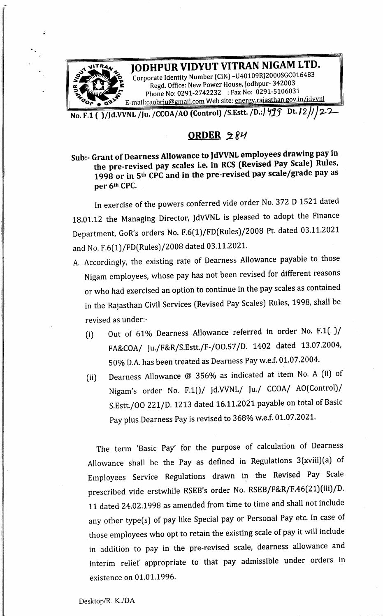

ORDER  $284$ 

Sub:- Grant of Dearness Allowance to JdVVNL employees drawing pay in the pre-revised pay scales i.e. in RCS (Revised Pay Scale) Rules, 1998 or in 5<sup>th</sup> CPC and in the pre-revised pay scale/grade pay as per 6% CPC.

In exercise of the powers conferred vide order No. <sup>372</sup> <sup>D</sup> <sup>1521</sup> dated 18.01.12 the Managing Director, JdVVNL is pleased to adopt the Finance Department, GoR's orders No. F.6(1)/FD(Rules)/2008 Pt. dated 03.11.2021 and No. F.6(1)/FD(Rules)/2008 dated 03.11.2021.

- A. Accordingly, the existing rate of Dearness Allowance payable to those Nigam employees, whose pay has not been revised for different reasons or who had exercised an option to continue in the pay scales as contained in the Rajasthan Civil Services (Revised Pay Scales) Rules, 1998, shall be revised as under:-
	- (i) Out of 61% Dearness Allowance referred in order No. F.1( )/ FA&COA/ Ju./F&R/S.Estt./F-/00.57/D. <sup>1402</sup> dated 13.07.2004, 50% D.A. has been treated as Dearness Pay w.e.f. 01.07.2004.
	- (ii) |Dearness Allowance @ 356% as indicated at item No. <sup>A</sup> {ii) of Nigam's order No. F.1()/ Jd.VVNL/ Ju./ CCOA/ AO(Control)/ S.Estt./OO 221/D. <sup>1213</sup> dated 16.11.2021 payable on total of Basic Pay plus Dearness Pay is revised to 368% w.e.f. 01.07.2021.

The term 'Basic Pay' for the purpose of calculation of Dearness Allowance shall be the Pay as defined in Regulations 3(xviii)(a) of Employees Service Regulations drawn in the Revised Pay Scale prescribed vide erstwhile RSEB's order No. RSEB/F&R/F.46(21) (iii)/D. <sup>11</sup> dated 24.02.1998 as amended from time to time and shall not include any other type(s) of pay like Special pay or Personal Pay etc. In case of those employees who opt to retain the existing scale of pay it will include in addition to pay in the pre-revised scale, dearness allowance and interim relief appropriate to that pay admissible under orders in existence on 01.01.1996.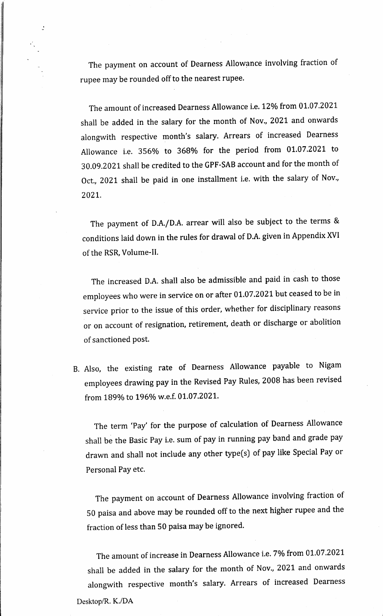The paymen<sup>t</sup> on account of Dearness Allowance involving fraction of rupee may be rounded off to the nearest rupee.

 $\ddot{\cdot}$ 

The amount of increased Dearness Allowance i.e. 12% from 01.07.2021 shall be added in the salary for the month of Nov., <sup>2021</sup> and onwards alongwith respective month's salary. Arrears of increased Dearness Allowance ie. 356% to 368% for the period from 01.07.2021 to 30.09.2021 shall be credited to the GPF-SAB account and for the month of Oct., <sup>2021</sup> shall be paid in one installment i.e. with the salary of Nov., 2021.

The paymen<sup>t</sup> of D.A./D.A. arrear will also be subject to the terms & conditions laid down in the rules for drawal of D.A. given in Appendix XVI of the RSR, Volume-II.

The increased D.A. shall also be admissible and paid in cash to those employees who were in service on or after 01.07.2021 but ceased to be in service prior to the issue of this order, whether for disciplinary reasons or on account of resignation, retirement, death or discharge or abolition of sanctioned post.

B. Also, the existing rate of Dearness Allowance payable to Nigam employees drawing pay in the Revised Pay Rules, <sup>2008</sup> has been revised from 189% to 196% w.e.f. 01.07.2021.

The term 'Pay' for the purpose of calculation of Dearness Allowance shall be the Basic Pay i.e. sum of pay in running pay band and grade pay drawn and shall not include any other type(s) of pay like Special Pay or Personal Pay etc.

The paymen<sup>t</sup> on account of Dearness Allowance involving fraction of <sup>50</sup> paisa and above may be rounded off to the next higher rupee and the fraction of less than <sup>50</sup> paisa may be ignored.

The amount of increase in Dearness Allowance i.e. 7% from 01.07.2021 shall be added in the salary for the month of Nov., <sup>2021</sup> and onwards alongwith respective month's salary. Arrears of increased Dearness Desktop/R. K./DA